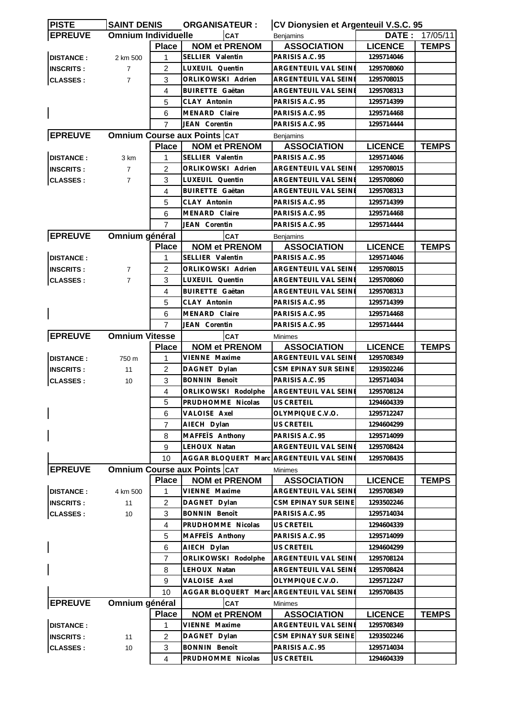| <b>IPISTE</b>    | <b>SAINT DENIS</b>         |                | <b>ORGANISATEUR:</b>                     | CV Dionysien et Argenteuil V.S.C. 95   |                |              |  |
|------------------|----------------------------|----------------|------------------------------------------|----------------------------------------|----------------|--------------|--|
| <b>EPREUVE</b>   | <b>Omnium Individuelle</b> |                | <b>CAT</b>                               | <b>Benjamins</b>                       | DATE:          | 17/05/11     |  |
|                  |                            | <b>Place</b>   | <b>NOM et PRENOM</b>                     | <b>ASSOCIATION</b>                     | <b>LICENCE</b> | <b>TEMPS</b> |  |
| <b>DISTANCE:</b> | 2 km 500                   | 1              | SELLIER Valentin                         | PARISIS A.C. 95                        | 1295714046     |              |  |
| <b>INSCRITS:</b> | $\overline{7}$             | 2              | LUXEUIL Quentin                          | ARGENTEUIL VAL SEINE                   | 1295708060     |              |  |
| <b>CLASSES:</b>  | $\overline{7}$             | 3              | ORLIKOWSKI Adrien                        | ARGENTEUIL VAL SEINE                   | 1295708015     |              |  |
|                  |                            | 4              | <b>BUIRETTE Gaëtan</b>                   | ARGENTEUIL VAL SEINE                   | 1295708313     |              |  |
|                  |                            | 5              | CLAY Antonin                             | PARISIS A.C. 95                        | 1295714399     |              |  |
|                  |                            | 6              | MENARD Claire                            | PARISIS A.C. 95                        | 1295714468     |              |  |
|                  |                            | 7              | JEAN Corentin                            | PARISIS A.C. 95                        | 1295714444     |              |  |
| <b>EPREUVE</b>   |                            |                | <b>Omnium Course aux Points CAT</b>      | <b>Benjamins</b>                       |                |              |  |
|                  |                            | <b>Place</b>   | <b>NOM et PRENOM</b>                     | <b>ASSOCIATION</b>                     | <b>LICENCE</b> | <b>TEMPS</b> |  |
| <b>DISTANCE:</b> | 3 km                       | 1              | SELLIER Valentin                         | PARISIS A.C. 95                        | 1295714046     |              |  |
| <b>INSCRITS:</b> | $\overline{7}$             | $\overline{2}$ | ORLIKOWSKI Adrien                        | ARGENTEUIL VAL SEINE                   | 1295708015     |              |  |
| <b>CLASSES:</b>  | $\overline{7}$             | 3              | LUXEUIL Quentin                          | ARGENTEUIL VAL SEINE                   | 1295708060     |              |  |
|                  |                            | 4              | <b>BUIRETTE Gaëtan</b>                   | ARGENTEUIL VAL SEINI                   | 1295708313     |              |  |
|                  |                            | 5              | CLAY Antonin                             | PARISIS A.C. 95                        | 1295714399     |              |  |
|                  |                            | 6              | MENARD Claire                            | PARISIS A.C. 95                        | 1295714468     |              |  |
|                  |                            | $\overline{7}$ | <b>JEAN Corentin</b>                     | PARISIS A.C. 95                        | 1295714444     |              |  |
| <b>EPREUVE</b>   | Omnium général             |                | CAT                                      |                                        |                |              |  |
|                  |                            | <b>Place</b>   | <b>NOM et PRENOM</b>                     | <b>Benjamins</b><br><b>ASSOCIATION</b> | <b>LICENCE</b> | <b>TEMPS</b> |  |
| <b>DISTANCE:</b> |                            | 1              | SELLIER Valentin                         | PARISIS A.C. 95                        | 1295714046     |              |  |
|                  |                            | 2              | ORLIKOWSKI Adrien                        | <b>ARGENTEUIL VAL SEINE</b>            | 1295708015     |              |  |
| <b>INSCRITS:</b> | $\overline{7}$             |                |                                          |                                        |                |              |  |
| <b>CLASSES:</b>  | $\overline{7}$             | 3              | LUXEUIL Quentin                          | ARGENTEUIL VAL SEINE                   | 1295708060     |              |  |
|                  |                            | 4              | <b>BUIRETTE Gaëtan</b>                   | ARGENTEUIL VAL SEINI                   | 1295708313     |              |  |
|                  |                            | 5              | CLAY Antonin                             | PARISIS A.C. 95                        | 1295714399     |              |  |
|                  |                            | 6              | <b>MENARD Claire</b>                     | PARISIS A.C. 95                        | 1295714468     |              |  |
|                  |                            | $\overline{7}$ | JEAN Corentin                            | PARISIS A.C. 95                        | 1295714444     |              |  |
| <b>EPREUVE</b>   | <b>Omnium Vitesse</b>      |                | <b>CAT</b>                               | <b>Minimes</b>                         |                |              |  |
|                  |                            | <b>Place</b>   | <b>NOM et PRENOM</b>                     | <b>ASSOCIATION</b>                     | <b>LICENCE</b> | <b>TEMPS</b> |  |
| <b>DISTANCE:</b> | 750 m                      | 1              | VIENNE Maxime                            | ARGENTEUIL VAL SEINE                   | 1295708349     |              |  |
| <b>INSCRITS:</b> | 11                         | 2              | DAGNET Dylan                             | CSM EPINAY SUR SEINE                   | 1293502246     |              |  |
| <b>CLASSES:</b>  | 10                         | 3              | <b>BONNIN Benoît</b>                     | PARISIS A.C. 95                        | 1295714034     |              |  |
|                  |                            | $\overline{4}$ | ORLIKOWSKI Rodolphe                      | ARGENTEUIL VAL SEINE                   | 1295708124     |              |  |
|                  |                            | 5              | PRUDHOMME Nicolas                        | US CRETEIL                             | 1294604339     |              |  |
|                  |                            | 6              | VALOISE Axel                             | OLYMPIQUE C.V.O.                       | 1295712247     |              |  |
|                  |                            | 7              | AIECH Dylan                              | US CRETEIL                             | 1294604299     |              |  |
|                  |                            | 8              | MAFFETS Anthony                          | PARISIS A.C. 95                        | 1295714099     |              |  |
|                  |                            | 9              | LEHOUX Natan                             | ARGENTEUIL VAL SEINE                   | 1295708424     |              |  |
|                  |                            | 10             | AGGAR BLOQUERT Marc ARGENTEUIL VAL SEINE |                                        | 1295708435     |              |  |
| <b>EPREUVE</b>   |                            |                | <b>Omnium Course aux Points CAT</b>      | <b>Minimes</b>                         |                |              |  |
|                  |                            | <b>Place</b>   | <b>NOM et PRENOM</b>                     | <b>ASSOCIATION</b>                     | <b>LICENCE</b> | <b>TEMPS</b> |  |
| <b>DISTANCE:</b> | 4 km 500                   | 1              | VIENNE Maxime                            | ARGENTEUIL VAL SEINI                   | 1295708349     |              |  |
| <b>INSCRITS:</b> | 11                         | 2              | DAGNET Dylan                             | CSM EPINAY SUR SEINE                   | 1293502246     |              |  |
| <b>CLASSES:</b>  | 10                         | 3              | <b>BONNIN Benoît</b>                     | PARISIS A.C. 95                        | 1295714034     |              |  |
|                  |                            | 4              | PRUDHOMME Nicolas                        | US CRETEIL                             | 1294604339     |              |  |
|                  |                            | 5              | MAFFETS Anthony                          | PARISIS A.C. 95                        | 1295714099     |              |  |
|                  |                            | 6              | AIECH Dylan                              | US CRETEIL                             | 1294604299     |              |  |
|                  |                            | $\overline{7}$ | ORLIKOWSKI Rodolphe                      | ARGENTEUIL VAL SEINE                   | 1295708124     |              |  |
|                  |                            | 8              | LEHOUX Natan                             | ARGENTEUIL VAL SEINE                   | 1295708424     |              |  |
|                  |                            | 9              | VALOISE Axel                             | OLYMPIQUE C.V.O.                       | 1295712247     |              |  |
|                  |                            | 10             | AGGAR BLOQUERT Marc ARGENTEUIL VAL SEINI |                                        | 1295708435     |              |  |
| <b>EPREUVE</b>   | Omnium général             |                | CAT                                      | <b>Minimes</b>                         |                |              |  |
|                  |                            | <b>Place</b>   | <b>NOM et PRENOM</b>                     | <b>ASSOCIATION</b>                     | <b>LICENCE</b> | <b>TEMPS</b> |  |
| <b>DISTANCE:</b> |                            | 1              | VIENNE Maxime                            | ARGENTEUIL VAL SEINE                   | 1295708349     |              |  |
| <b>INSCRITS:</b> | 11                         | 2              | DAGNET Dylan                             | CSM EPINAY SUR SEINE                   | 1293502246     |              |  |
| <b>CLASSES:</b>  | 10                         | 3              | <b>BONNIN Benoît</b>                     | PARISIS A.C. 95                        | 1295714034     |              |  |
|                  |                            | 4              | PRUDHOMME Nicolas                        | US CRETEIL                             | 1294604339     |              |  |
|                  |                            |                |                                          |                                        |                |              |  |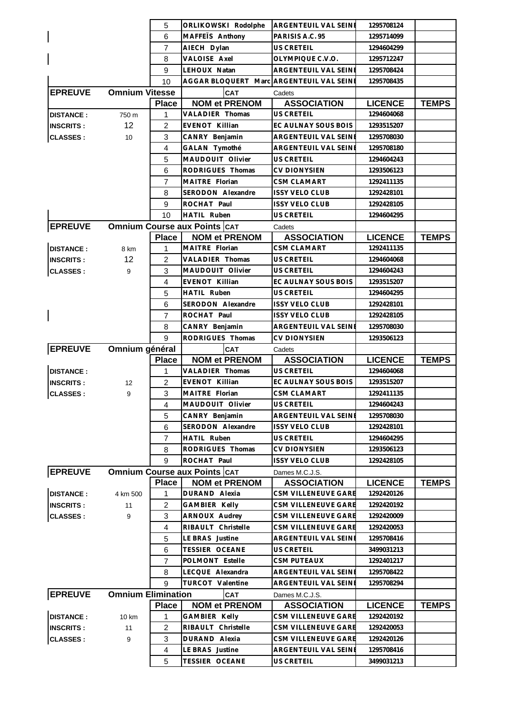|                  |                           | 5                 | ORLIKOWSKI Rodolphe                      | ARGENTEUIL VAL SEINE                         | 1295708124                   |              |
|------------------|---------------------------|-------------------|------------------------------------------|----------------------------------------------|------------------------------|--------------|
|                  |                           | 6                 | MAFFEIS Anthony                          | PARISIS A.C. 95                              | 1295714099                   |              |
|                  |                           | $\overline{7}$    | AIECH Dylan                              | US CRETEIL                                   | 1294604299                   |              |
|                  |                           | 8                 | VALOISE Axel                             | OLYMPIQUE C.V.O.                             | 1295712247                   |              |
|                  |                           | 9                 | LEHOUX Natan                             | ARGENTEUIL VAL SEINE                         | 1295708424                   |              |
|                  |                           | 10                | AGGAR BLOQUERT Marc ARGENTEUIL VAL SEINE |                                              | 1295708435                   |              |
| <b>EPREUVE</b>   | <b>Omnium Vitesse</b>     |                   | <b>CAT</b>                               | Cadets                                       |                              |              |
|                  |                           | <b>Place</b>      | <b>NOM et PRENOM</b>                     | <b>ASSOCIATION</b>                           | <b>LICENCE</b>               | <b>TEMPS</b> |
| <b>DISTANCE:</b> | 750 m                     | 1                 | VALADIER Thomas                          | <b>US CRETEIL</b>                            | 1294604068                   |              |
| <b>INSCRITS:</b> | 12                        | $\overline{c}$    | <b>EVENOT Killian</b>                    | EC AULNAY SOUS BOIS                          | 1293515207                   |              |
| <b>CLASSES:</b>  | 10                        | 3                 | CANRY Benjamin                           | ARGENTEUIL VAL SEINE                         | 1295708030                   |              |
|                  |                           | 4                 | GALAN Tymothé                            | ARGENTEUIL VAL SEINE                         | 1295708180                   |              |
|                  |                           | 5                 | MAUDOUIT Olivier                         | <b>US CRETEIL</b>                            | 1294604243                   |              |
|                  |                           | 6                 | RODRIGUES Thomas                         | <b>CV DIONYSIEN</b>                          | 1293506123                   |              |
|                  |                           | 7                 | MAITRE Florian                           | CSM CLAMART                                  | 1292411135                   |              |
|                  |                           | 8                 | SERODON Alexandre                        | <b>ISSY VELO CLUB</b>                        | 1292428101                   |              |
|                  |                           | 9                 | ROCHAT Paul                              | <b>ISSY VELO CLUB</b>                        | 1292428105                   |              |
|                  |                           | 10                | <b>HATIL Ruben</b>                       | <b>US CRETEIL</b>                            | 1294604295                   |              |
| <b>EPREUVE</b>   |                           |                   | <b>Omnium Course aux Points CAT</b>      | Cadets                                       |                              |              |
|                  |                           | <b>Place</b>      | <b>NOM et PRENOM</b>                     | <b>ASSOCIATION</b>                           | <b>LICENCE</b>               | <b>TEMPS</b> |
| <b>DISTANCE:</b> | 8 km                      | 1                 | MAITRE Florian                           | CSM CLAMART                                  | 1292411135                   |              |
| <b>INSCRITS:</b> | 12 <sup>2</sup>           | 2                 | VALADIER Thomas                          | <b>US CRETEIL</b>                            | 1294604068                   |              |
| <b>CLASSES:</b>  | 9                         | 3                 | MAUDOUIT Olivier                         | <b>US CRETEIL</b>                            | 1294604243                   |              |
|                  |                           | 4                 | EVENOT Killian                           | EC AULNAY SOUS BOIS                          | 1293515207                   |              |
|                  |                           | 5                 | HATIL Ruben                              | US CRETEIL                                   | 1294604295                   |              |
|                  |                           | 6                 | SERODON Alexandre                        | <b>ISSY VELO CLUB</b>                        | 1292428101                   |              |
| $\mathsf{l}$     |                           | $\overline{7}$    | ROCHAT Paul                              | <b>ISSY VELO CLUB</b>                        | 1292428105                   |              |
|                  |                           | 8                 | CANRY Benjamin                           | ARGENTEUIL VAL SEINE                         | 1295708030                   |              |
|                  |                           | 9                 | RODRIGUES Thomas                         | CV DIONYSIEN                                 | 1293506123                   |              |
| <b>EPREUVE</b>   | Omnium général            |                   | <b>CAT</b>                               | Cadets                                       |                              |              |
|                  |                           |                   |                                          |                                              |                              |              |
|                  |                           |                   |                                          |                                              |                              |              |
|                  |                           | <b>Place</b>      | <b>NOM et PRENOM</b>                     | <b>ASSOCIATION</b>                           | <b>LICENCE</b>               | <b>TEMPS</b> |
| <b>DISTANCE:</b> |                           | 1                 | VALADIER Thomas                          | <b>US CRETEIL</b>                            | 1294604068                   |              |
| <b>INSCRITS:</b> | 12                        | $\overline{2}$    | <b>EVENOT Killian</b>                    | EC AULNAY SOUS BOIS                          | 1293515207                   |              |
| <b>CLASSES:</b>  | 9                         | 3                 | MAITRE Florian                           | <b>CSM CLAMART</b>                           | 1292411135                   |              |
|                  |                           | $\overline{4}$    | MAUDOUIT Olivier                         | US CRETEIL                                   | 1294604243                   |              |
|                  |                           | 5                 | CANRY Benjamin                           | ARGENTEUIL VAL SEINE                         | 1295708030                   |              |
|                  |                           | 6                 | SERODON Alexandre                        | <b>ISSY VELO CLUB</b>                        | 1292428101                   |              |
|                  |                           | $\overline{7}$    | <b>HATIL Ruben</b>                       | US CRETEIL                                   | 1294604295                   |              |
|                  |                           | 8                 | RODRIGUES Thomas                         | <b>CV DIONYSIEN</b>                          | 1293506123                   |              |
|                  |                           | 9                 | ROCHAT Paul                              | <b>ISSY VELO CLUB</b>                        | 1292428105                   |              |
| <b>EPREUVE</b>   |                           |                   | <b>Omnium Course aux Points CAT</b>      | Dames M.C.J.S.                               |                              |              |
|                  |                           | <b>Place</b>      | <b>NOM et PRENOM</b>                     | <b>ASSOCIATION</b><br>CSM VILLENEUVE GARE    | <b>LICENCE</b>               | <b>TEMPS</b> |
| <b>DISTANCE:</b> | 4 km 500                  | 1                 | DURAND Alexia                            | CSM VILLENEUVE GARE                          | 1292420126<br>1292420192     |              |
| <b>INSCRITS:</b> | 11                        | 2                 | GAMBIER Kelly                            |                                              |                              |              |
| <b>CLASSES:</b>  | 9                         | 3                 | ARNOUX Audrey                            | CSM VILLENEUVE GARE                          | 1292420009                   |              |
|                  |                           | 4                 | RIBAULT Christelle                       | CSM VILLENEUVE GARE                          | 1292420053                   |              |
|                  |                           | 5                 | LE BRAS Justine                          | ARGENTEUIL VAL SEINE                         | 1295708416                   |              |
|                  |                           | 6                 | TESSIER OCEANE                           | US CRETEIL                                   | 3499031213<br>1292401217     |              |
|                  |                           | $\overline{7}$    | POLMONT Estelle<br>LECQUE Alexandra      | <b>CSM PUTEAUX</b>                           |                              |              |
|                  |                           | 8<br>9            | TURCOT Valentine                         | ARGENTEUIL VAL SEINE<br>ARGENTEUIL VAL SEINE | 1295708422<br>1295708294     |              |
|                  |                           |                   |                                          |                                              |                              |              |
| <b>EPREUVE</b>   | <b>Omnium Elimination</b> |                   | <b>CAT</b>                               | Dames M.C.J.S.                               |                              |              |
|                  | 10 km                     | <b>Place</b><br>1 | <b>NOM et PRENOM</b>                     | <b>ASSOCIATION</b><br>CSM VILLENEUVE GARE    | <b>LICENCE</b><br>1292420192 | <b>TEMPS</b> |
| <b>DISTANCE:</b> | 11                        | 2                 | GAMBIER Kelly<br>RIBAULT Christelle      | CSM VILLENEUVE GARE                          | 1292420053                   |              |
| <b>INSCRITS:</b> | 9                         | 3                 | DURAND Alexia                            | CSM VILLENEUVE GARE                          | 1292420126                   |              |
| <b>CLASSES:</b>  |                           |                   | LE BRAS Justine                          | ARGENTEUIL VAL SEINE                         | 1295708416                   |              |
|                  |                           | 4<br>5            | TESSIER OCEANE                           | US CRETEIL                                   | 3499031213                   |              |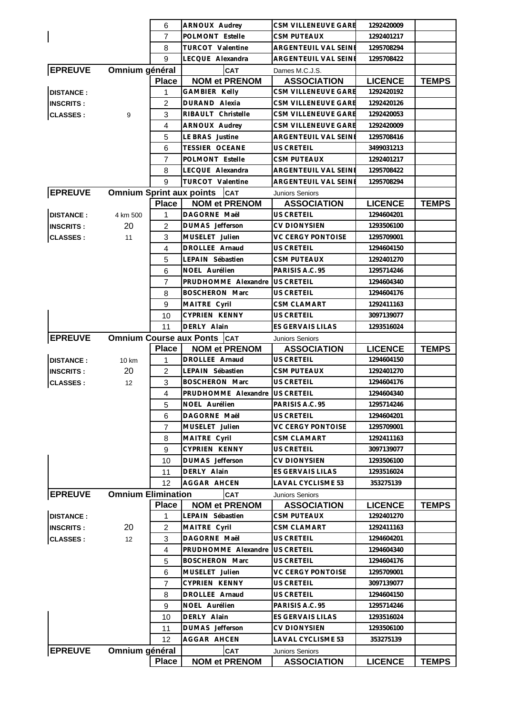|                  |                                 | 6                 | ARNOUX Audrey                        | CSM VILLENEUVE GARE      | 1292420009     |              |
|------------------|---------------------------------|-------------------|--------------------------------------|--------------------------|----------------|--------------|
|                  |                                 | 7                 | POLMONT Estelle                      | <b>CSM PUTEAUX</b>       | 1292401217     |              |
|                  |                                 | 8                 | <b>TURCOT Valentine</b>              | ARGENTEUIL VAL SEINE     | 1295708294     |              |
|                  |                                 | 9                 | LECQUE Alexandra                     | ARGENTEUIL VAL SEINI     | 1295708422     |              |
| <b>EPREUVE</b>   | Omnium général                  |                   | CAT                                  | Dames M.C.J.S.           |                |              |
|                  |                                 | <b>Place</b>      | <b>NOM et PRENOM</b>                 | <b>ASSOCIATION</b>       | <b>LICENCE</b> | <b>TEMPS</b> |
| <b>DISTANCE:</b> |                                 | 1                 | GAMBIER Kelly                        | CSM VILLENEUVE GARE      | 1292420192     |              |
| <b>INSCRITS:</b> |                                 | 2                 | DURAND Alexia                        | CSM VILLENEUVE GARE      | 1292420126     |              |
| <b>CLASSES:</b>  | 9                               | 3                 | RIBAULT Christelle                   | CSM VILLENEUVE GARE      | 1292420053     |              |
|                  |                                 | 4                 | ARNOUX Audrey                        | CSM VILLENEUVE GARE      | 1292420009     |              |
|                  |                                 | 5                 | LE BRAS Justine                      | ARGENTEUIL VAL SEINE     | 1295708416     |              |
|                  |                                 | 6                 | TESSIER OCEANE                       | <b>US CRETEIL</b>        | 3499031213     |              |
|                  |                                 | 7                 | POLMONT Estelle                      | <b>CSM PUTEAUX</b>       | 1292401217     |              |
|                  |                                 | 8                 | LECQUE Alexandra                     | ARGENTEUIL VAL SEINE     | 1295708422     |              |
|                  |                                 | 9                 | TURCOT Valentine                     | ARGENTEUIL VAL SEINE     | 1295708294     |              |
| <b>EPREUVE</b>   |                                 |                   |                                      |                          |                |              |
|                  | <b>Omnium Sprint aux points</b> |                   | <b>CAT</b>                           | <b>Juniors Seniors</b>   |                |              |
|                  |                                 | <b>Place</b>      | <b>NOM et PRENOM</b>                 | <b>ASSOCIATION</b>       | <b>LICENCE</b> | <b>TEMPS</b> |
| <b>DISTANCE:</b> | 4 km 500                        | 1                 | DAGORNE Maël                         | <b>US CRETEIL</b>        | 1294604201     |              |
| <b>INSCRITS:</b> | 20                              | $\overline{2}$    | DUMAS Jefferson                      | <b>CV DIONYSIEN</b>      | 1293506100     |              |
| <b>CLASSES:</b>  | 11                              | 3                 | MUSELET Julien                       | <b>VC CERGY PONTOISE</b> | 1295709001     |              |
|                  |                                 | $\overline{4}$    | <b>DROLLEE</b> Arnaud                | US CRETEIL               | 1294604150     |              |
|                  |                                 | 5                 | LEPAIN Sébastien                     | <b>CSM PUTEAUX</b>       | 1292401270     |              |
|                  |                                 | 6                 | NOEL Aurélien                        | PARISIS A.C. 95          | 1295714246     |              |
|                  |                                 | $\overline{7}$    | PRUDHOMME Alexandre                  | <b>US CRETEIL</b>        | 1294604340     |              |
|                  |                                 | 8                 | <b>BOSCHERON Marc</b>                | US CRETEIL               | 1294604176     |              |
|                  |                                 | 9                 | MAITRE Cyril                         | <b>CSM CLAMART</b>       | 1292411163     |              |
|                  |                                 | 10                | CYPRIEN KENNY                        | US CRETEIL               | 3097139077     |              |
|                  |                                 | 11                | DERLY Alain                          | <b>ES GERVAIS LILAS</b>  | 1293516024     |              |
| <b>EPREUVE</b>   |                                 |                   | <b>Omnium Course aux Ponts   CAT</b> | <b>Juniors Seniors</b>   |                |              |
|                  |                                 |                   |                                      |                          |                |              |
|                  |                                 | <b>Place</b>      | <b>NOM et PRENOM</b>                 | <b>ASSOCIATION</b>       | <b>LICENCE</b> | <b>TEMPS</b> |
| <b>DISTANCE:</b> | 10 km                           | 1                 | DROLLEE Arnaud                       | <b>US CRETEIL</b>        | 1294604150     |              |
| <b>INSCRITS:</b> | 20                              | $\overline{c}$    | LEPAIN Sébastien                     | <b>CSM PUTEAUX</b>       | 1292401270     |              |
|                  | 12                              | 3                 | <b>BOSCHERON Marc</b>                | <b>US CRETEIL</b>        | 1294604176     |              |
| <b>CLASSES:</b>  |                                 | 4                 | PRUDHOMME Alexandre                  | <b>US CRETEIL</b>        | 1294604340     |              |
|                  |                                 |                   |                                      |                          |                |              |
|                  |                                 | 5                 | NOEL Aurélien<br>DAGORNE Maël        | PARISIS A.C. 95          | 1295714246     |              |
|                  |                                 | 6                 |                                      | US CRETEIL               | 1294604201     |              |
|                  |                                 | $\overline{7}$    | MUSELET Julien                       | <b>VC CERGY PONTOISE</b> | 1295709001     |              |
|                  |                                 | 8                 | MAITRE Cyril                         | CSM CLAMART              | 1292411163     |              |
|                  |                                 | 9                 | <b>CYPRIEN KENNY</b>                 | US CRETEIL               | 3097139077     |              |
|                  |                                 | 10                | DUMAS Jefferson                      | <b>CV DIONYSIEN</b>      | 1293506100     |              |
|                  |                                 | 11                | DERLY Alain                          | ES GERVAIS LILAS         | 1293516024     |              |
|                  |                                 | 12                | AGGAR AHCEN                          | <b>LAVAL CYCLISME 53</b> | 353275139      |              |
| <b>EPREUVE</b>   | <b>Omnium Elimination</b>       |                   | CAT                                  | <b>Juniors Seniors</b>   |                |              |
|                  |                                 | <b>Place</b>      | <b>NOM et PRENOM</b>                 | <b>ASSOCIATION</b>       | <b>LICENCE</b> | <b>TEMPS</b> |
| <b>DISTANCE:</b> |                                 | 1                 | LEPAIN Sébastien                     | <b>CSM PUTEAUX</b>       | 1292401270     |              |
| <b>INSCRITS:</b> | 20                              | 2                 | MAITRE Cyril                         | <b>CSM CLAMART</b>       | 1292411163     |              |
| <b>CLASSES:</b>  | 12                              | 3                 | DAGORNE Maël                         | US CRETEIL               | 1294604201     |              |
|                  |                                 | 4                 | PRUDHOMME Alexandre                  | <b>US CRETEIL</b>        | 1294604340     |              |
|                  |                                 | 5                 | <b>BOSCHERON Marc</b>                | <b>US CRETEIL</b>        | 1294604176     |              |
|                  |                                 | 6                 | MUSELET Julien                       | <b>VC CERGY PONTOISE</b> | 1295709001     |              |
|                  |                                 | $\overline{7}$    | CYPRIEN KENNY                        | US CRETEIL               | 3097139077     |              |
|                  |                                 | 8                 | DROLLEE Arnaud                       | US CRETEIL               | 1294604150     |              |
|                  |                                 | 9                 | NOEL Aurélien                        | PARISIS A.C. 95          | 1295714246     |              |
|                  |                                 | 10                | DERLY Alain                          | ES GERVAIS LILAS         | 1293516024     |              |
|                  |                                 | 11                | DUMAS Jefferson                      | <b>CV DIONYSIEN</b>      | 1293506100     |              |
|                  |                                 | $12 \overline{ }$ | AGGAR AHCEN                          | LAVAL CYCLISME 53        | 353275139      |              |
| <b>EPREUVE</b>   | Omnium général                  |                   | <b>CAT</b>                           | <b>Juniors Seniors</b>   |                |              |